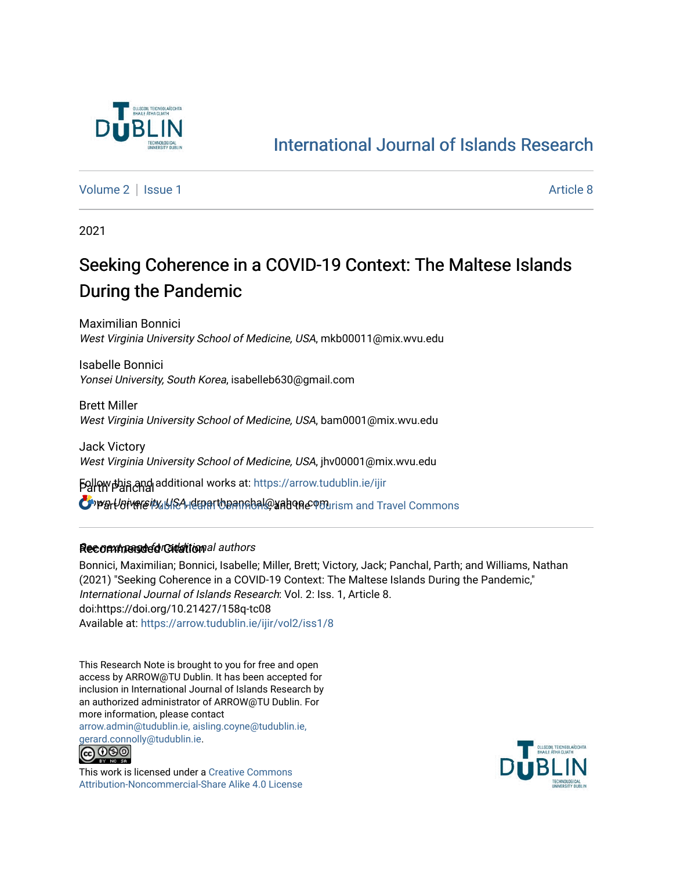

# [International Journal of Islands Research](https://arrow.tudublin.ie/ijir)

[Volume 2](https://arrow.tudublin.ie/ijir/vol2) | [Issue 1](https://arrow.tudublin.ie/ijir/vol2/iss1) Article 8

2021

# Seeking Coherence in a COVID-19 Context: The Maltese Islands During the Pandemic

Maximilian Bonnici West Virginia University School of Medicine, USA, mkb00011@mix.wvu.edu

Isabelle Bonnici Yonsei University, South Korea, isabelleb630@gmail.com

Brett Miller West Virginia University School of Medicine, USA, bam0001@mix.wvu.edu

Jack Victory West Virginia University School of Medicine, USA, jhv00001@mix.wvu.edu

Follow this and additional works at: https://arrow.tudublin.ie/ijir

Oppart/aftersity, URA, depart to panchal@yahoo.com and Travel Commons

### **Recommended Giddition**al authors

Bonnici, Maximilian; Bonnici, Isabelle; Miller, Brett; Victory, Jack; Panchal, Parth; and Williams, Nathan (2021) "Seeking Coherence in a COVID-19 Context: The Maltese Islands During the Pandemic," International Journal of Islands Research: Vol. 2: Iss. 1, Article 8. doi:https://doi.org/10.21427/158q-tc08 Available at: [https://arrow.tudublin.ie/ijir/vol2/iss1/8](https://arrow.tudublin.ie/ijir/vol2/iss1/8?utm_source=arrow.tudublin.ie%2Fijir%2Fvol2%2Fiss1%2F8&utm_medium=PDF&utm_campaign=PDFCoverPages) 

This Research Note is brought to you for free and open access by ARROW@TU Dublin. It has been accepted for inclusion in International Journal of Islands Research by an authorized administrator of ARROW@TU Dublin. For more information, please contact [arrow.admin@tudublin.ie, aisling.coyne@tudublin.ie,](mailto:arrow.admin@tudublin.ie,%20aisling.coyne@tudublin.ie,%20gerard.connolly@tudublin.ie) 





This work is licensed under a [Creative Commons](http://creativecommons.org/licenses/by-nc-sa/4.0/) [Attribution-Noncommercial-Share Alike 4.0 License](http://creativecommons.org/licenses/by-nc-sa/4.0/)

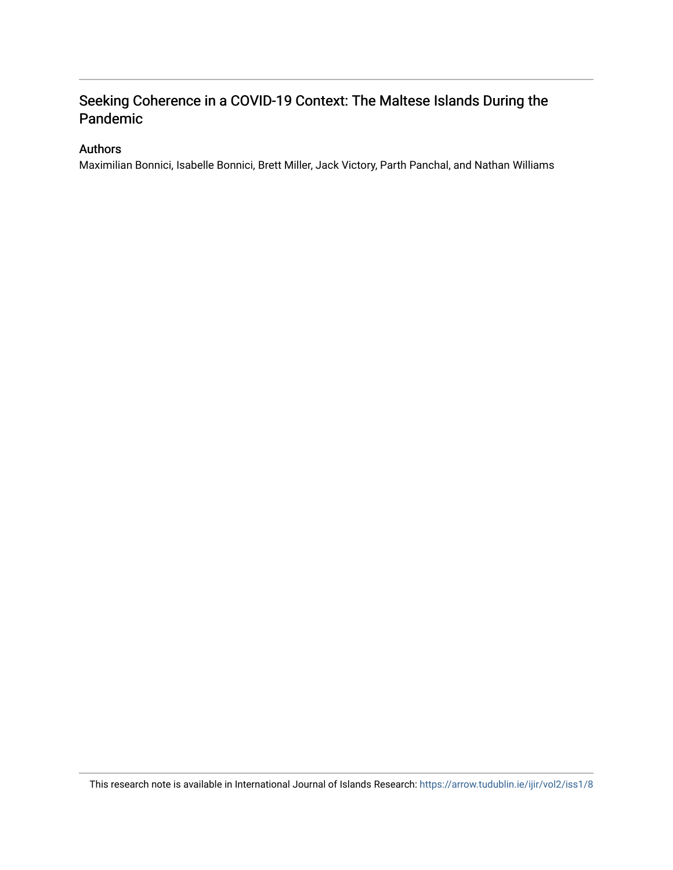## Seeking Coherence in a COVID-19 Context: The Maltese Islands During the Pandemic

#### Authors

Maximilian Bonnici, Isabelle Bonnici, Brett Miller, Jack Victory, Parth Panchal, and Nathan Williams

This research note is available in International Journal of Islands Research: <https://arrow.tudublin.ie/ijir/vol2/iss1/8>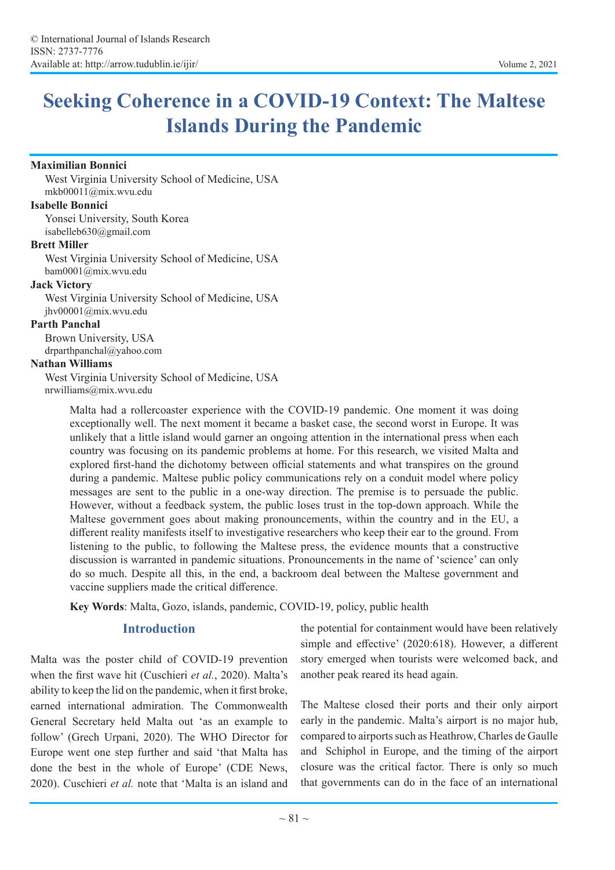# **Seeking Coherence in a COVID-19 Context: The Maltese Islands During the Pandemic**

#### **Maximilian Bonnici**

West Virginia University School of Medicine, USA mkb00011@mix.wvu.edu

#### **Isabelle Bonnici**

Yonsei University, South Korea isabelleb630@gmail.com

#### **Brett Miller**

West Virginia University School of Medicine, USA bam0001@mix.wvu.edu

#### **Jack Victory**

West Virginia University School of Medicine, USA jhv00001@mix.wvu.edu

#### **Parth Panchal**

Brown University, USA drparthpanchal@yahoo.com

#### **Nathan Williams**

West Virginia University School of Medicine, USA nrwilliams@mix.wvu.edu

> Malta had a rollercoaster experience with the COVID-19 pandemic. One moment it was doing exceptionally well. The next moment it became a basket case, the second worst in Europe. It was unlikely that a little island would garner an ongoing attention in the international press when each country was focusing on its pandemic problems at home. For this research, we visited Malta and explored first-hand the dichotomy between official statements and what transpires on the ground during a pandemic. Maltese public policy communications rely on a conduit model where policy messages are sent to the public in a one-way direction. The premise is to persuade the public. However, without a feedback system, the public loses trust in the top-down approach. While the Maltese government goes about making pronouncements, within the country and in the EU, a different reality manifests itself to investigative researchers who keep their ear to the ground. From listening to the public, to following the Maltese press, the evidence mounts that a constructive discussion is warranted in pandemic situations. Pronouncements in the name of 'science' can only do so much. Despite all this, in the end, a backroom deal between the Maltese government and vaccine suppliers made the critical difference.

**Key Words**: Malta, Gozo, islands, pandemic, COVID-19, policy, public health

### **Introduction**

Malta was the poster child of COVID-19 prevention when the first wave hit (Cuschieri *et al.*, 2020). Malta's ability to keep the lid on the pandemic, when it first broke, earned international admiration. The Commonwealth General Secretary held Malta out 'as an example to follow' (Grech Urpani, 2020). The WHO Director for Europe went one step further and said 'that Malta has done the best in the whole of Europe' (CDE News, 2020). Cuschieri *et al.* note that 'Malta is an island and

the potential for containment would have been relatively simple and effective' (2020:618). However, a different story emerged when tourists were welcomed back, and another peak reared its head again.

The Maltese closed their ports and their only airport early in the pandemic. Malta's airport is no major hub, compared to airports such as Heathrow, Charles de Gaulle and Schiphol in Europe, and the timing of the airport closure was the critical factor. There is only so much that governments can do in the face of an international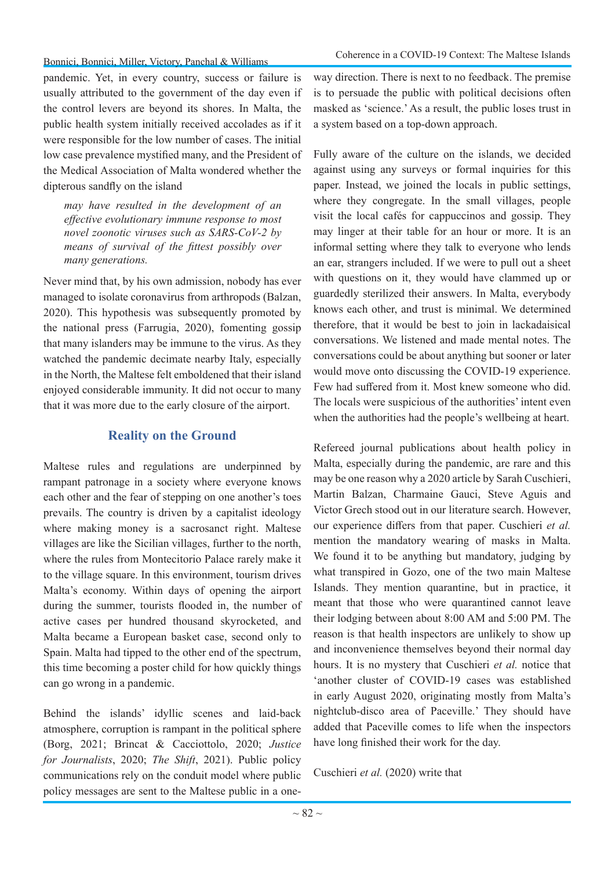pandemic. Yet, in every country, success or failure is usually attributed to the government of the day even if the control levers are beyond its shores. In Malta, the public health system initially received accolades as if it were responsible for the low number of cases. The initial low case prevalence mystified many, and the President of the Medical Association of Malta wondered whether the dipterous sandfly on the island

*may have resulted in the development of an effective evolutionary immune response to most novel zoonotic viruses such as SARS-CoV-2 by means of survival of the fittest possibly over many generations.* 

Never mind that, by his own admission, nobody has ever managed to isolate coronavirus from arthropods (Balzan, 2020). This hypothesis was subsequently promoted by the national press (Farrugia, 2020), fomenting gossip that many islanders may be immune to the virus. As they watched the pandemic decimate nearby Italy, especially in the North, the Maltese felt emboldened that their island enjoyed considerable immunity. It did not occur to many that it was more due to the early closure of the airport.

## **Reality on the Ground**

Maltese rules and regulations are underpinned by rampant patronage in a society where everyone knows each other and the fear of stepping on one another's toes prevails. The country is driven by a capitalist ideology where making money is a sacrosanct right. Maltese villages are like the Sicilian villages, further to the north, where the rules from Montecitorio Palace rarely make it to the village square. In this environment, tourism drives Malta's economy. Within days of opening the airport during the summer, tourists flooded in, the number of active cases per hundred thousand skyrocketed, and Malta became a European basket case, second only to Spain. Malta had tipped to the other end of the spectrum, this time becoming a poster child for how quickly things can go wrong in a pandemic.

Behind the islands' idyllic scenes and laid-back atmosphere, corruption is rampant in the political sphere (Borg, 2021; Brincat & Cacciottolo, 2020; *Justice for Journalists*, 2020; *The Shift*, 2021). Public policy communications rely on the conduit model where public policy messages are sent to the Maltese public in a oneway direction. There is next to no feedback. The premise is to persuade the public with political decisions often masked as 'science.' As a result, the public loses trust in a system based on a top-down approach.

Fully aware of the culture on the islands, we decided against using any surveys or formal inquiries for this paper. Instead, we joined the locals in public settings, where they congregate. In the small villages, people visit the local cafés for cappuccinos and gossip. They may linger at their table for an hour or more. It is an informal setting where they talk to everyone who lends an ear, strangers included. If we were to pull out a sheet with questions on it, they would have clammed up or guardedly sterilized their answers. In Malta, everybody knows each other, and trust is minimal. We determined therefore, that it would be best to join in lackadaisical conversations. We listened and made mental notes. The conversations could be about anything but sooner or later would move onto discussing the COVID-19 experience. Few had suffered from it. Most knew someone who did. The locals were suspicious of the authorities' intent even when the authorities had the people's wellbeing at heart.

Refereed journal publications about health policy in Malta, especially during the pandemic, are rare and this may be one reason why a 2020 article by Sarah Cuschieri, Martin Balzan, Charmaine Gauci, Steve Aguis and Victor Grech stood out in our literature search. However, our experience differs from that paper. Cuschieri *et al.* mention the mandatory wearing of masks in Malta. We found it to be anything but mandatory, judging by what transpired in Gozo, one of the two main Maltese Islands. They mention quarantine, but in practice, it meant that those who were quarantined cannot leave their lodging between about 8:00 AM and 5:00 PM. The reason is that health inspectors are unlikely to show up and inconvenience themselves beyond their normal day hours. It is no mystery that Cuschieri *et al.* notice that 'another cluster of COVID-19 cases was established in early August 2020, originating mostly from Malta's nightclub-disco area of Paceville.' They should have added that Paceville comes to life when the inspectors have long finished their work for the day.

Cuschieri *et al.* (2020) write that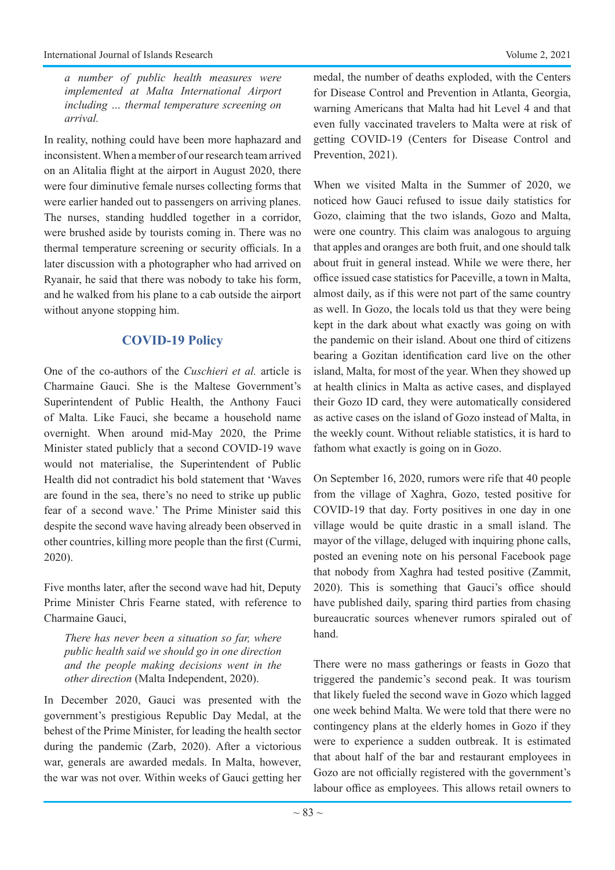*a number of public health measures were implemented at Malta International Airport including … thermal temperature screening on arrival.* 

In reality, nothing could have been more haphazard and inconsistent. When a member of our research team arrived on an Alitalia flight at the airport in August 2020, there were four diminutive female nurses collecting forms that were earlier handed out to passengers on arriving planes. The nurses, standing huddled together in a corridor, were brushed aside by tourists coming in. There was no thermal temperature screening or security officials. In a later discussion with a photographer who had arrived on Ryanair, he said that there was nobody to take his form, and he walked from his plane to a cab outside the airport without anyone stopping him.

## **COVID-19 Policy**

One of the co-authors of the *Cuschieri et al.* article is Charmaine Gauci. She is the Maltese Government's Superintendent of Public Health, the Anthony Fauci of Malta. Like Fauci, she became a household name overnight. When around mid-May 2020, the Prime Minister stated publicly that a second COVID-19 wave would not materialise, the Superintendent of Public Health did not contradict his bold statement that 'Waves are found in the sea, there's no need to strike up public fear of a second wave.' The Prime Minister said this despite the second wave having already been observed in other countries, killing more people than the first (Curmi, 2020).

Five months later, after the second wave had hit, Deputy Prime Minister Chris Fearne stated, with reference to Charmaine Gauci,

*There has never been a situation so far, where public health said we should go in one direction and the people making decisions went in the other direction* (Malta Independent, 2020).

In December 2020, Gauci was presented with the government's prestigious Republic Day Medal, at the behest of the Prime Minister, for leading the health sector during the pandemic (Zarb, 2020). After a victorious war, generals are awarded medals. In Malta, however, the war was not over. Within weeks of Gauci getting her medal, the number of deaths exploded, with the Centers for Disease Control and Prevention in Atlanta, Georgia, warning Americans that Malta had hit Level 4 and that even fully vaccinated travelers to Malta were at risk of getting COVID-19 (Centers for Disease Control and Prevention, 2021).

When we visited Malta in the Summer of 2020, we noticed how Gauci refused to issue daily statistics for Gozo, claiming that the two islands, Gozo and Malta, were one country. This claim was analogous to arguing that apples and oranges are both fruit, and one should talk about fruit in general instead. While we were there, her office issued case statistics for Paceville, a town in Malta, almost daily, as if this were not part of the same country as well. In Gozo, the locals told us that they were being kept in the dark about what exactly was going on with the pandemic on their island. About one third of citizens bearing a Gozitan identification card live on the other island, Malta, for most of the year. When they showed up at health clinics in Malta as active cases, and displayed their Gozo ID card, they were automatically considered as active cases on the island of Gozo instead of Malta, in the weekly count. Without reliable statistics, it is hard to fathom what exactly is going on in Gozo.

On September 16, 2020, rumors were rife that 40 people from the village of Xaghra, Gozo, tested positive for COVID-19 that day. Forty positives in one day in one village would be quite drastic in a small island. The mayor of the village, deluged with inquiring phone calls, posted an evening note on his personal Facebook page that nobody from Xaghra had tested positive (Zammit, 2020). This is something that Gauci's office should have published daily, sparing third parties from chasing bureaucratic sources whenever rumors spiraled out of hand.

There were no mass gatherings or feasts in Gozo that triggered the pandemic's second peak. It was tourism that likely fueled the second wave in Gozo which lagged one week behind Malta. We were told that there were no contingency plans at the elderly homes in Gozo if they were to experience a sudden outbreak. It is estimated that about half of the bar and restaurant employees in Gozo are not officially registered with the government's labour office as employees. This allows retail owners to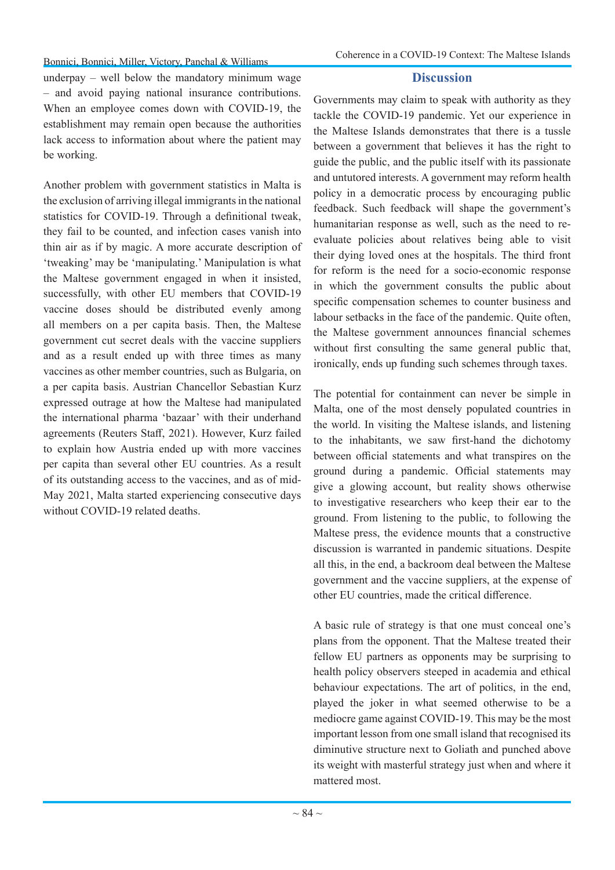underpay – well below the mandatory minimum wage – and avoid paying national insurance contributions. When an employee comes down with COVID-19, the establishment may remain open because the authorities lack access to information about where the patient may be working.

Another problem with government statistics in Malta is the exclusion of arriving illegal immigrants in the national statistics for COVID-19. Through a definitional tweak, they fail to be counted, and infection cases vanish into thin air as if by magic. A more accurate description of 'tweaking' may be 'manipulating.' Manipulation is what the Maltese government engaged in when it insisted, successfully, with other EU members that COVID-19 vaccine doses should be distributed evenly among all members on a per capita basis. Then, the Maltese government cut secret deals with the vaccine suppliers and as a result ended up with three times as many vaccines as other member countries, such as Bulgaria, on a per capita basis. Austrian Chancellor Sebastian Kurz expressed outrage at how the Maltese had manipulated the international pharma 'bazaar' with their underhand agreements (Reuters Staff, 2021). However, Kurz failed to explain how Austria ended up with more vaccines per capita than several other EU countries. As a result of its outstanding access to the vaccines, and as of mid-May 2021, Malta started experiencing consecutive days without COVID-19 related deaths.

#### **Discussion**

Governments may claim to speak with authority as they tackle the COVID-19 pandemic. Yet our experience in the Maltese Islands demonstrates that there is a tussle between a government that believes it has the right to guide the public, and the public itself with its passionate and untutored interests. A government may reform health policy in a democratic process by encouraging public feedback. Such feedback will shape the government's humanitarian response as well, such as the need to reevaluate policies about relatives being able to visit their dying loved ones at the hospitals. The third front for reform is the need for a socio-economic response in which the government consults the public about specific compensation schemes to counter business and labour setbacks in the face of the pandemic. Quite often, the Maltese government announces financial schemes without first consulting the same general public that, ironically, ends up funding such schemes through taxes.

The potential for containment can never be simple in Malta, one of the most densely populated countries in the world. In visiting the Maltese islands, and listening to the inhabitants, we saw first-hand the dichotomy between official statements and what transpires on the ground during a pandemic. Official statements may give a glowing account, but reality shows otherwise to investigative researchers who keep their ear to the ground. From listening to the public, to following the Maltese press, the evidence mounts that a constructive discussion is warranted in pandemic situations. Despite all this, in the end, a backroom deal between the Maltese government and the vaccine suppliers, at the expense of other EU countries, made the critical difference.

A basic rule of strategy is that one must conceal one's plans from the opponent. That the Maltese treated their fellow EU partners as opponents may be surprising to health policy observers steeped in academia and ethical behaviour expectations. The art of politics, in the end, played the joker in what seemed otherwise to be a mediocre game against COVID-19. This may be the most important lesson from one small island that recognised its diminutive structure next to Goliath and punched above its weight with masterful strategy just when and where it mattered most.